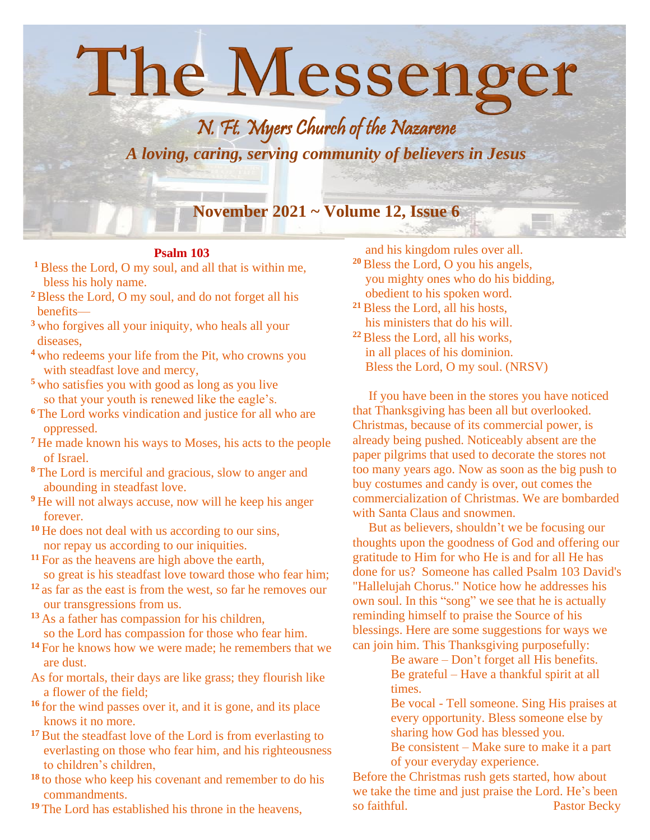## The Messenger N. Ft. Myers Church of the Nazarene *A loving, caring, serving community of believers in Jesus* **November 2021 ~ Volume 12, Issue 6**

## **Psalm 103**

- **<sup>1</sup>** Bless the Lord, O my soul, and all that is within me, bless his holy name.
- **<sup>2</sup>** Bless the Lord, O my soul, and do not forget all his benefits—
- **<sup>3</sup>** who forgives all your iniquity, who heals all your diseases,
- **<sup>4</sup>** who redeems your life from the Pit, who crowns you with steadfast love and mercy,
- **<sup>5</sup>** who satisfies you with good as long as you live so that your youth is renewed like the eagle's.
- **<sup>6</sup>** The Lord works vindication and justice for all who are oppressed.
- **<sup>7</sup>** He made known his ways to Moses, his acts to the people of Israel.
- **<sup>8</sup>** The Lord is merciful and gracious, slow to anger and abounding in steadfast love.
- **<sup>9</sup>** He will not always accuse, now will he keep his anger forever.
- **<sup>10</sup>** He does not deal with us according to our sins, nor repay us according to our iniquities.
- **<sup>11</sup>** For as the heavens are high above the earth, so great is his steadfast love toward those who fear him;
- **<sup>12</sup>** as far as the east is from the west, so far he removes our our transgressions from us.
- **<sup>13</sup>** As a father has compassion for his children, so the Lord has compassion for those who fear him.
- **<sup>14</sup>** For he knows how we were made; he remembers that we are dust.
- As for mortals, their days are like grass; they flourish like a flower of the field;
- **<sup>16</sup>** for the wind passes over it, and it is gone, and its place knows it no more.
- <sup>17</sup> But the steadfast love of the Lord is from everlasting to everlasting on those who fear him, and his righteousness to children's children,
- **<sup>18</sup>** to those who keep his covenant and remember to do his commandments.
- **<sup>19</sup>** The Lord has established his throne in the heavens,

and his kingdom rules over all.

- **<sup>20</sup>**Bless the Lord, O you his angels, you mighty ones who do his bidding, obedient to his spoken word.
- **<sup>21</sup>**Bless the Lord, all his hosts, his ministers that do his will.
- **<sup>22</sup>**Bless the Lord, all his works, in all places of his dominion. Bless the Lord, O my soul. (NRSV)

 If you have been in the stores you have noticed that Thanksgiving has been all but overlooked. Christmas, because of its commercial power, is already being pushed. Noticeably absent are the paper pilgrims that used to decorate the stores not too many years ago. Now as soon as the big push to buy costumes and candy is over, out comes the commercialization of Christmas. We are bombarded with Santa Claus and snowmen.

 But as believers, shouldn't we be focusing our thoughts upon the goodness of God and offering our gratitude to Him for who He is and for all He has done for us? Someone has called Psalm 103 David's "Hallelujah Chorus." Notice how he addresses his own soul. In this "song" we see that he is actually reminding himself to praise the Source of his blessings. Here are some suggestions for ways we can join him. This Thanksgiving purposefully:

Be aware – Don't forget all His benefits. Be grateful – Have a thankful spirit at all times.

Be vocal - Tell someone. Sing His praises at every opportunity. Bless someone else by sharing how God has blessed you. Be consistent – Make sure to make it a part of your everyday experience.

Before the Christmas rush gets started, how about we take the time and just praise the Lord. He's been so faithful. Pastor Becky